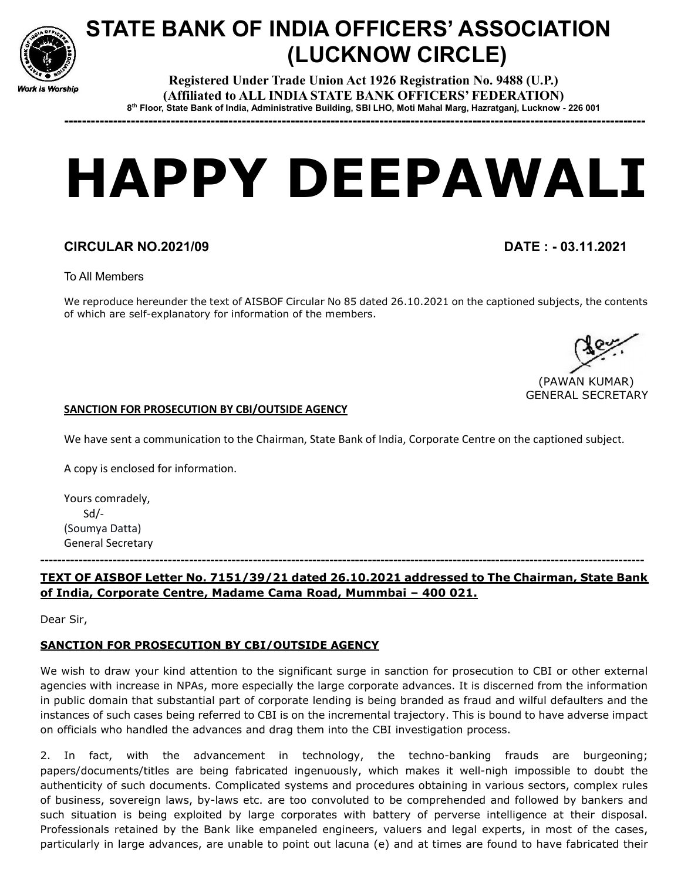

# STATE BANK OF INDIA OFFICERS' ASSOCIATION (LUCKNOW CIRCLE)

Registered Under Trade Union Act 1926 Registration No. 9488 (U.P.) (Affiliated to ALL INDIA STATE BANK OFFICERS' FEDERATION) 8 th Floor, State Bank of India, Administrative Building, SBI LHO, Moti Mahal Marg, Hazratganj, Lucknow - 226 001

-----------------------------------------------------------------------------------------------------------------------------------

# HAPPY DEEPAWALI

# CIRCULAR NO.2021/09 DATE : - 03.11.2021

To All Members

We reproduce hereunder the text of AISBOF Circular No 85 dated 26.10.2021 on the captioned subjects, the contents of which are self-explanatory for information of the members.

 (PAWAN KUMAR) GENERAL SECRETARY

#### SANCTION FOR PROSECUTION BY CBI/OUTSIDE AGENCY

We have sent a communication to the Chairman, State Bank of India, Corporate Centre on the captioned subject.

A copy is enclosed for information.

Yours comradely, Sd/- (Soumya Datta) General Secretary

### TEXT OF AISBOF Letter No. 7151/39/21 dated 26.10.2021 addressed to The Chairman, State Bank of India, Corporate Centre, Madame Cama Road, Mummbai – 400 021.

----------------------------------------------------------------------------------------------------------------------------------------------

Dear Sir,

## SANCTION FOR PROSECUTION BY CBI/OUTSIDE AGENCY

We wish to draw your kind attention to the significant surge in sanction for prosecution to CBI or other external agencies with increase in NPAs, more especially the large corporate advances. It is discerned from the information in public domain that substantial part of corporate lending is being branded as fraud and wilful defaulters and the instances of such cases being referred to CBI is on the incremental trajectory. This is bound to have adverse impact on officials who handled the advances and drag them into the CBI investigation process.

2. In fact, with the advancement in technology, the techno-banking frauds are burgeoning; papers/documents/titles are being fabricated ingenuously, which makes it well-nigh impossible to doubt the authenticity of such documents. Complicated systems and procedures obtaining in various sectors, complex rules of business, sovereign laws, by-laws etc. are too convoluted to be comprehended and followed by bankers and such situation is being exploited by large corporates with battery of perverse intelligence at their disposal. Professionals retained by the Bank like empaneled engineers, valuers and legal experts, in most of the cases, particularly in large advances, are unable to point out lacuna (e) and at times are found to have fabricated their